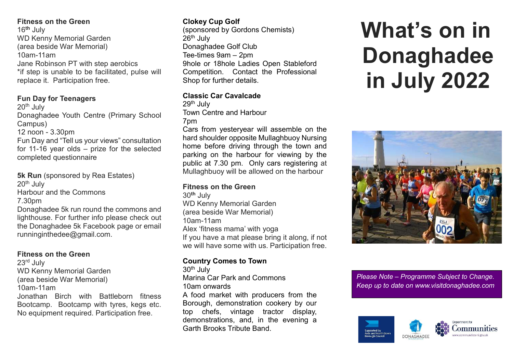## Fitness on the Green

16<sup>th</sup> July WD Kenny Memorial Garden (area beside War Memorial) 10am-11am Jane Robinson PT with step aerobics \*if step is unable to be facilitated, pulse will replace it. Participation free.

## Fun Day for Teenagers

20th July Donaghadee Youth Centre (Primary School Campus) 12 noon - 3.30pm Fun Day and "Tell us your views" consultation

for 11-16 year olds – prize for the selected completed questionnaire

5k Run (sponsored by Rea Estates)  $20<sup>th</sup>$  July Harbour and the Commons 7.30pm Donaghadee 5k run round the commons and lighthouse. For further info please check out the Donaghadee 5k Facebook page or email

## Fitness on the Green

runninginthedee@gmail.com.

23rd July WD Kenny Memorial Garden (area beside War Memorial) 10am-11am Jonathan Birch with Battleborn fitness Bootcamp. Bootcamp with tyres, kegs etc. No equipment required. Participation free.

# Clokey Cup Golf

(sponsored by Gordons Chemists)  $26<sup>th</sup>$  July Donaghadee Golf Club Tee-times 9am – 2pm 9hole or 18hole Ladies Open Stableford Competition. Contact the Professional Shop for further details.

## Classic Car Cavalcade

29<sup>th</sup> July Town Centre and Harbour 7pm

Cars from yesteryear will assemble on the hard shoulder opposite Mullaghbuoy Nursing home before driving through the town and parking on the harbour for viewing by the public at 7.30 pm. Only cars registering at Mullaghbuoy will be allowed on the harbour

## Fitness on the Green

30th July WD Kenny Memorial Garden (area beside War Memorial) 10am-11am Alex 'fitness mama' with yoga If you have a mat please bring it along, if not we will have some with us. Participation free.

# Country Comes to Town

 $30<sup>th</sup>$  July Marina Car Park and Commons 10am onwards A food market with producers from the Borough, demonstration cookery by our top chefs, vintage tractor display, demonstrations, and, in the evening a Garth Brooks Tribute Band.

# What's on in Donaghadee in July 2022



Please Note – Programme Subject to Change. Keep up to date on www.visitdonaghadee.com